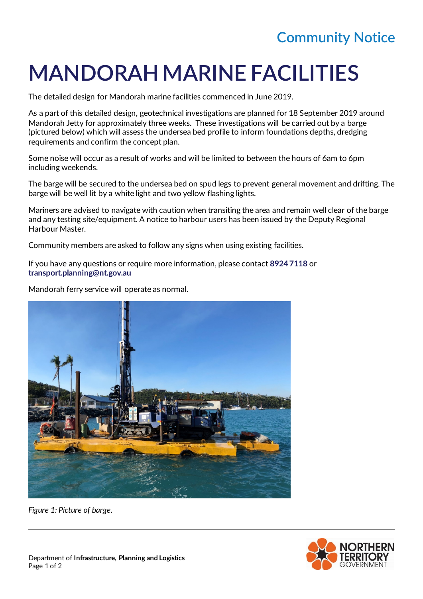## **Community Notice**

## **MANDORAH MARINE FACILITIES**

The detailed design for Mandorah marine facilities commenced in June 2019.

As a part of this detailed design, geotechnical investigations are planned for 18 September 2019 around Mandorah Jetty for approximately three weeks. These investigations will be carried out by a barge (pictured below) which will assess the undersea bed profile to inform foundations depths, dredging requirements and confirm the concept plan.

Some noise will occur as a result of works and will be limited to between the hours of 6am to 6pm including weekends.

The barge will be secured to the undersea bed on spud legs to prevent general movement and drifting. The barge will be well lit by a white light and two yellow flashing lights.

Mariners are advised to navigate with caution when transiting the area and remain well clear of the barge and any testing site/equipment. A notice to harbour users has been issued by the Deputy Regional Harbour Master.

Community members are asked to follow any signs when using existing facilities.

If you have any questions or require more information, please contact **8924 7118** or **transport.planning@nt.gov.au**

Mandorah ferry service will operate as normal.



*Figure 1: Picture of barge.*